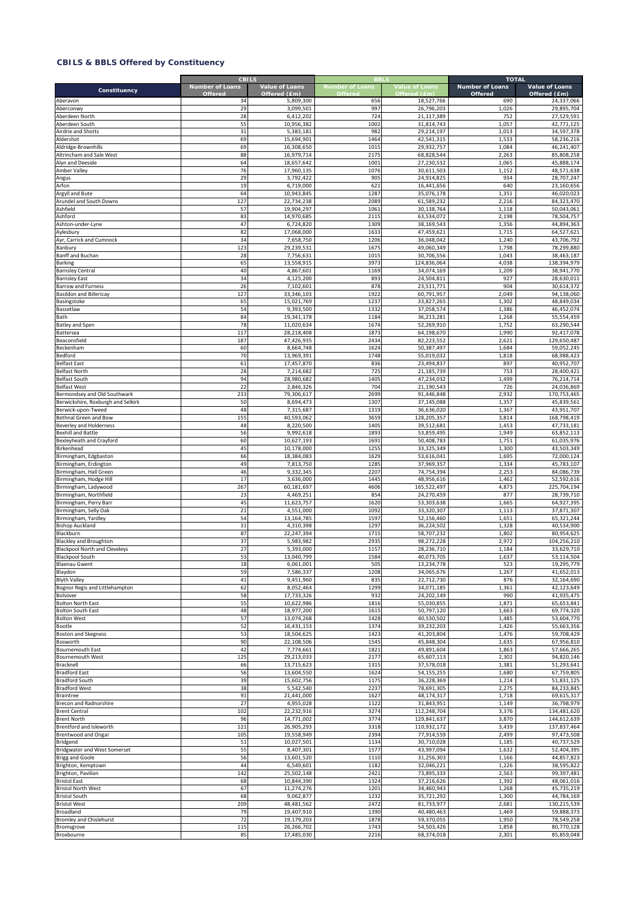|                                                          | <b>CBILS</b>                             |                                |                                   |                                       | <b>TOTAL</b>                      |                                       |
|----------------------------------------------------------|------------------------------------------|--------------------------------|-----------------------------------|---------------------------------------|-----------------------------------|---------------------------------------|
| Constituency                                             | <b>Number of Loans</b><br><b>Offered</b> | Value of Loans<br>Offered (£m) | <b>Number of Loans</b><br>Offered | <b>Value of Loans</b><br>Offered (£m) | <b>Number of Loans</b><br>Offered | <b>Value of Loans</b><br>Offered (£m) |
| Aberavon                                                 | 34                                       | 5,809,300                      | 656                               | 18,527,766                            | 690                               | 24,337,066                            |
| Aberconwy                                                | 29                                       | 3,099,501                      | 997                               | 26,796,203                            | 1,026                             | 29.895.704                            |
| Aberdeen North                                           | 28                                       | 6,412,202                      | 724                               | 21,117,389                            | 752                               | 27,529,591                            |
| Aberdeen South                                           | 55                                       | 10,956,382                     | 1002                              | 31,814,743                            | 1,057                             | 42,771,125                            |
| Airdrie and Shotts                                       | 31                                       | 5,383,181                      | 982                               | 29,214,197                            | 1,013                             | 34,597,378                            |
| Aldershot                                                | 69                                       | 15,694,901                     | 1464                              | 42,541,315                            | 1,533                             | 58,236,216                            |
| Aldridge-Brownhills                                      | 69                                       | 16,308,650                     | 1015                              | 29,932,757                            | 1,084                             | 46,241,407                            |
| Altrincham and Sale West                                 | 88                                       | 16,979,714                     | 2175                              | 68,828,544                            | 2,263                             | 85,808,258                            |
| Alyn and Deeside                                         | 64<br>76                                 | 18,657,642                     | 1001<br>1076                      | 27,230,532                            | 1,065<br>1,152                    | 45,888,174<br>48,571,638              |
| Amber Valley<br>Angus                                    | 29                                       | 17,960,135<br>3,792,422        | 905                               | 30,611,503<br>24,914,825              | 934                               | 28,707,247                            |
| Arfon                                                    | 19                                       | 6,719,000                      | 621                               | 16,441,656                            | 640                               | 23,160,656                            |
| Argyll and Bute                                          | 64                                       | 10,943,845                     | 1287                              | 35,076,178                            | 1,351                             | 46,020,023                            |
| Arundel and South Downs                                  | 127                                      | 22,734,238                     | 2089                              | 61,589,232                            | 2,216                             | 84,323,470                            |
| Ashfield                                                 | 57                                       | 19,904,297                     | 1061                              | 30,138,764                            | 1,118                             | 50,043,061                            |
| Ashford                                                  | 83                                       | 14,970,685                     | 2115                              | 63,534,072                            | 2,198                             | 78,504,757                            |
| Ashton-under-Lyne                                        | 47                                       | 6,724,820                      | 1309                              | 38,169,543                            | 1,356                             | 44,894,363                            |
| Aylesbury                                                | 82                                       | 17,068,000                     | 1633                              | 47,459,621                            | 1,715                             | 64,527,621                            |
| Ayr, Carrick and Cumnock                                 | 34                                       | 7,658,750                      | 1206                              | 36,048,042                            | 1,240                             | 43,706,792                            |
| Banbury                                                  | 123                                      | 29,239,531                     | 1675                              | 49,060,349                            | 1,798                             | 78,299,880                            |
| Banff and Buchan                                         | 28                                       | 7,756,631                      | 101                               | 30,706,556                            | 1,043                             | 38,463,187                            |
| <b>Barking</b>                                           | 65                                       | 13,558,915                     | 3973                              | 124,836,064                           | 4,038                             | 138,394,979                           |
| <b>Barnsley Central</b>                                  | 40                                       | 4,867,601                      | 1169                              | 34,074,169                            | 1,209                             | 38,941,770                            |
| <b>Barnsley East</b><br><b>Barrow and Furness</b>        | 34<br>26                                 | 4,125,200<br>7,102,601         | 893<br>878                        | 24,504,811<br>23,511,771              | 927<br>904                        | 28,630,011<br>30,614,372              |
| <b>Basildon and Billericay</b>                           | 127                                      | 33,346,103                     | 1922                              | 60,791,957                            | 2,049                             | 94,138,060                            |
| Basingstoke                                              | 65                                       | 15,021,769                     | 1237                              | 33,827,265                            | 1,302                             | 48,849,034                            |
| Bassetlaw                                                | 54                                       | 9,393,500                      | 1332                              | 37,058,574                            | 1,386                             | 46,452,074                            |
| Bath                                                     | 84                                       | 19,341,178                     | 1184                              | 36,213,281                            | 1,268                             | 55,554,459                            |
| <b>Batley and Spen</b>                                   | 78                                       | 11,020,634                     | 1674                              | 52,269,910                            | 1,752                             | 63,290,544                            |
| Battersea                                                | 117                                      | 28,218,408                     | 1873                              | 64,198,670                            | 1,990                             | 92,417,078                            |
| Beaconsfield                                             | 187                                      | 47,426,935                     | 2434                              | 82,223,552                            | 2,621                             | 129,650,487                           |
| Beckenham                                                | 60                                       | 8,664,748                      | 1624                              | 50,387,497                            | 1,684                             | 59,052,245                            |
| Bedford                                                  | 70                                       | 13,969,391                     | 1748                              | 55,019,032                            | 1,818                             | 68,988,423                            |
| <b>Belfast East</b>                                      | 61                                       | 17,457,870                     | 836                               | 23,494,837                            | 897                               | 40,952,707                            |
| <b>Belfast North</b>                                     | 28                                       | 7,214,682                      | 725                               | 21,185,739                            | 753                               | 28,400,421                            |
| <b>Belfast South</b>                                     | 94                                       | 28,980,682                     | 1405                              | 47,234,032                            | 1,499                             | 76,214,714                            |
| <b>Belfast West</b>                                      | 22                                       | 2,846,326                      | 704                               | 21,190,543                            | 726                               | 24,036,869                            |
| Bermondsey and Old Southwark                             | 233                                      | 79,306,617                     | 2699                              | 91,446,848                            | 2,932                             | 170,753,465                           |
| Berwickshire, Roxburgh and Selkirk<br>Berwick-upon-Tweed | 50<br>48                                 | 8,694,473                      | 1307<br>1319                      | 37,145,088<br>36,636,020              | 1,357<br>1,367                    | 45,839,561<br>43,951,707              |
| Bethnal Green and Bow                                    | 155                                      | 7,315,687<br>40,593,062        | 3659                              | 128,205,357                           | 3,814                             | 168,798,419                           |
| Beverley and Holderness                                  | 48                                       | 8,220,500                      | 1405                              | 39,512,681                            | 1,453                             | 47,733,181                            |
| <b>Bexhill and Battle</b>                                | 56                                       | 9,992,618                      | 1893                              | 53,859,495                            | 1,949                             | 63,852,113                            |
| Bexleyheath and Crayford                                 | 60                                       | 10,627,193                     | 1691                              | 50,408,783                            | 1,751                             | 61,035,976                            |
| Birkenhead                                               | 45                                       | 10,178,000                     | 1255                              | 33,325,349                            | 1,300                             | 43,503,349                            |
| Birmingham, Edgbaston                                    | 66                                       | 18,384,083                     | 1629                              | 53,616,041                            | 1,695                             | 72,000,124                            |
| Birmingham, Erdington                                    | 49                                       | 7,813,750                      | 1285                              | 37,969,357                            | 1,334                             | 45,783,107                            |
| Birmingham, Hall Green                                   | 46                                       | 9,332,345                      | 2207                              | 74,754,394                            | 2,253                             | 84,086,739                            |
| Birmingham, Hodge Hill                                   | 17                                       | 3,636,000                      | 1445                              | 48,956,616                            | 1,462                             | 52,592,616                            |
| Birmingham, Ladywood                                     | 267                                      | 60,181,697                     | 4606                              | 165,522,497                           | 4,873                             | 225,704,194                           |
| Birmingham, Northfield                                   | 23                                       | 4,469,251                      | 854                               | 24,270,459                            | 877                               | 28,739,710                            |
| Birmingham, Perry Barr                                   | 45                                       | 11,623,757                     | 1620                              | 53,303,638                            | 1,665                             | 64,927,395                            |
| Birmingham, Selly Oak                                    | $\overline{21}$                          | 4,551,000                      | 1092                              | 33,320,307                            | 1,113                             | 37,871,307<br>65,321,244              |
| Birmingham, Yardley<br><b>Bishop Auckland</b>            | 54<br>31                                 | 13,164,785<br>4,310,398        | 1597<br>129                       | 52,156,460<br>36,224,502              | 1,651<br>1,328                    | 40,534,900                            |
| Blackburn                                                | 87                                       | 22,247,394                     | 1715                              | 58,707,232                            | 1,802                             | 80,954,625                            |
| <b>Blackley and Broughton</b>                            | 37                                       | 5,983,982                      | 2935                              | 98,272,228                            | 2,972                             | 104,256,210                           |
| <b>Blackpool North and Cleveleys</b>                     | 27                                       | 5,393,000                      | 1157                              | 28,236,710                            | 1,184                             | 33,629,710                            |
| <b>Blackpool South</b>                                   | 53                                       | 13,040,799                     | 1584                              | 40,073,705                            | 1,637                             | 53,114,504                            |
| <b>Blaenau Gwent</b>                                     | 18                                       | 6,061,001                      | 505                               | 13,234,778                            | 523                               | 19,295,779                            |
| Blaydon                                                  | 59                                       | 7,586,337                      | 1208                              | 34,065,676                            | 1,267                             | 41,652,013                            |
| <b>Blyth Valley</b>                                      | 41                                       | 9,451,960                      | 835                               | 22,712,730                            | 876                               | 32,164,690                            |
| Bognor Regis and Littlehampton                           | 62                                       | 8,052,464                      | 1299                              | 34,071,185                            | 1,361                             | 42,123,649                            |
| Bolsover                                                 | 58                                       | 17,733,326                     | 932                               | 24,202,149                            | 990                               | 41,935,475                            |
| <b>Bolton North East</b>                                 | 55                                       | 10,622,986                     | 1816                              | 55,030,855                            | 1,871                             | 65,653,841                            |
| <b>Bolton South East</b>                                 | 48                                       | 18,977,200                     | 1615                              | 50,797,120                            | 1,663                             | 69,774,320                            |
| <b>Bolton West</b>                                       | 57                                       | 13,074,268                     | 1428                              | 40,530,502                            | 1,485                             | 53,604,770                            |
| Bootle                                                   | 52<br>53                                 | 16,431,153<br>18,504,625       | 1374<br>1423                      | 39,232,203<br>41,203,804              | 1,426<br>1,476                    | 55,663,356<br>59,708,429              |
| <b>Boston and Skegness</b><br>Bosworth                   | 90                                       | 22,108,506                     | 1545                              | 45,848,304                            | 1,635                             | 67,956,810                            |
| <b>Bournemouth East</b>                                  | 42                                       | 7,774,661                      | 1821                              | 49,891,604                            | 1,863                             | 57,666,265                            |
| <b>Bournemouth West</b>                                  | 125                                      | 29,213,033                     | 2177                              | 65,607,113                            | 2,302                             | 94,820,146                            |
| Bracknell                                                | 66                                       | 13,715,623                     | 1315                              | 37,578,018                            | 1,381                             | 51,293,641                            |
| <b>Bradford East</b>                                     | 56                                       | 13,604,550                     | 1624                              | 54, 155, 255                          | 1,680                             | 67,759,805                            |
| <b>Bradford South</b>                                    | 39                                       | 15,602,756                     | 1175                              | 36,228,369                            | 1,214                             | 51,831,125                            |
| <b>Bradford West</b>                                     | 38                                       | 5,542,540                      | 2237                              | 78,691,305                            | 2,275                             | 84,233,845                            |
| <b>Braintree</b>                                         | 91                                       | 21,441,000                     | 1627                              | 48,174,317                            | 1,718                             | 69,615,317                            |
| Brecon and Radnorshire                                   | 27                                       | 4,955,028                      | 1122                              | 31,843,951                            | 1,149                             | 36,798,979                            |
| <b>Brent Central</b>                                     | 102                                      | 22,232,916                     | 3274                              | 112,248,704                           | 3,376                             | 134,481,620                           |
| <b>Brent North</b>                                       | 96                                       | 14,771,002                     | 3774                              | 129,841,637                           | 3,870                             | 144,612,639                           |
| Brentford and Isleworth                                  | 121                                      | 26,905,293                     | 3318                              | 110,932,172                           | 3,439                             | 137,837,464                           |
| <b>Brentwood and Ongar</b>                               | 105                                      | 19,558,949                     | 2394                              | 77,914,559                            | 2,499                             | 97,473,508                            |
| Bridgend                                                 | 51                                       | 10,027,501                     | 1134                              | 30,710,028                            | 1,185                             | 40,737,529                            |
| Bridgwater and West Somerset                             | 55<br>56                                 | 8,407,301                      | 1577<br>1110                      | 43,997,094<br>31,256,303              | 1,632<br>1,166                    | 52,404,395<br>44,857,823              |
| <b>Brigg and Goole</b><br>Brighton, Kemptown             | 44                                       | 13,601,520<br>6,549,601        | 1182                              | 32,046,221                            | 1,226                             | 38,595,822                            |
| Brighton, Pavilion                                       | 142                                      | 25,502,148                     | 2421                              | 73,895,333                            | 2,563                             | 99,397,481                            |
| <b>Bristol East</b>                                      | 68                                       | 10,844,390                     | 1324                              | 37,216,626                            | 1,392                             | 48,061,016                            |
| <b>Bristol North West</b>                                | 67                                       | 11,274,276                     | 1201                              | 34,460,943                            | 1,268                             | 45,735,219                            |
| <b>Bristol South</b>                                     | 68                                       | 9,062,877                      | 1232                              | 35,721,292                            | 1,300                             | 44,784,169                            |
| <b>Bristol West</b>                                      | 209                                      | 48,481,562                     | 2472                              | 81,733,977                            | 2,681                             | 130,215,539                           |
| Broadland                                                | 79                                       | 19,407,910                     | 1390                              | 40,480,463                            | 1,469                             | 59,888,373                            |
| <b>Bromley and Chislehurst</b>                           | 72                                       | 19,179,203                     | 1878                              | 59,370,055                            | 1,950                             | 78,549,258                            |
| Bromsgrove                                               | 115                                      | 26,266,702                     | 1743                              | 54,503,426                            | 1,858                             | 80,770,128                            |
| Broxbourne                                               | 85                                       | 17,485,030                     | 2216                              | 68,374,018                            | 2,301                             | 85,859,048                            |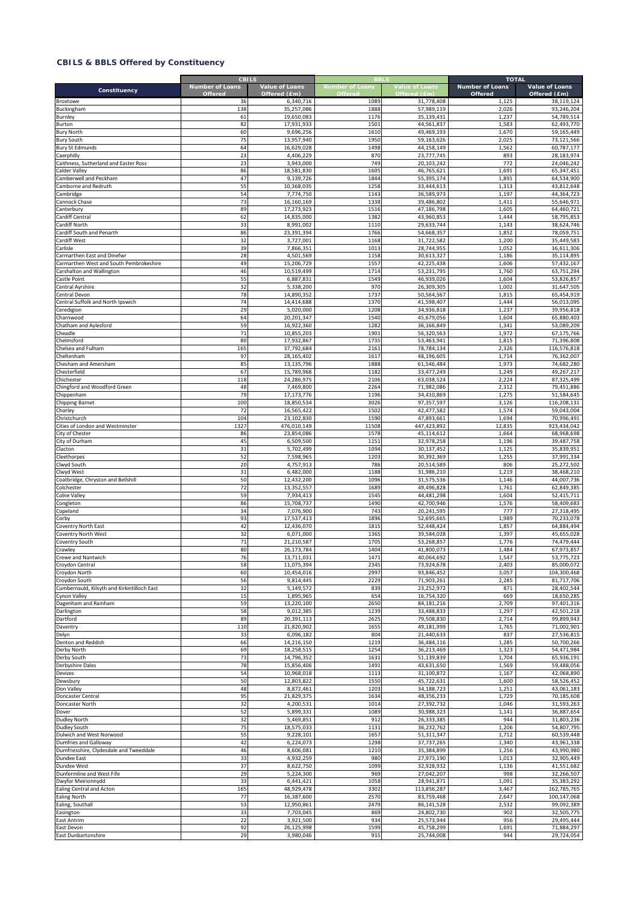|                                                   | <b>CBILS</b>                      | <b>Value of Loans</b>    | <b>Number of Loans</b> |                                       | <b>TOTAL</b><br><b>Number of Loans</b> |                                |
|---------------------------------------------------|-----------------------------------|--------------------------|------------------------|---------------------------------------|----------------------------------------|--------------------------------|
| Constituency                                      | <b>Number of Loans</b><br>Offered | Offered (£m)             | Offered                | <b>Value of Loans</b><br>Offered (£m) | Offered                                | Value of Loans<br>Offered (£m) |
| Broxtowe                                          | 36                                | 6,340,716                | 1089                   | 31,778,408                            | 1,125                                  | 38,119,124                     |
| Buckingham                                        | 138                               | 35.257.086               | 1888                   | 57,989,119                            | 2,026                                  | 93,246,204                     |
| Burnley<br>Burton                                 | 61<br>82                          | 19,650,083<br>17,931,933 | 1176<br>1501           | 35,139,431<br>44,561,837              | 1,237<br>1,583                         | 54,789,514<br>62,493,770       |
| <b>Bury North</b>                                 | 60                                | 9,696,256                | 1610                   | 49,469,193                            | 1,670                                  | 59,165,449                     |
| <b>Bury South</b>                                 | 75                                | 13,957,940               | 1950                   | 59,163,626                            | 2,025                                  | 73,121,566                     |
| <b>Bury St Edmunds</b>                            | 64                                | 16,629,028               | 1498                   | 44,158,149                            | 1,562                                  | 60,787,177                     |
| Caerphilly                                        | 23                                | 4,406,229                | 870                    | 23,777,745                            | 893                                    | 28,183,974                     |
| Caithness, Sutherland and Easter Ross             | 23                                | 3,943,000                | 749                    | 20,103,242                            | 772                                    | 24,046,242                     |
| Calder Valley                                     | 86                                | 18,581,830               | 1605                   | 46,765,621                            | 1,691                                  | 65,347,451                     |
| Camberwell and Peckham<br>Camborne and Redruth    | 47                                | 9,139,726                | 1844<br>1258           | 55,395,174<br>33,444,613              | 1,891<br>1,313                         | 64,534,900<br>43,812,648       |
| Cambridge                                         | 55<br>54                          | 10,368,035<br>7,774,750  | 1143                   | 36,589,973                            | 1,197                                  | 44,364,723                     |
| Cannock Chase                                     | 73                                | 16,160,169               | 1338                   | 39,486,802                            | 1,411                                  | 55,646,971                     |
| Canterbury                                        | 89                                | 17,273,923               | 1516                   | 47,186,798                            | 1,605                                  | 64,460,721                     |
| Cardiff Central                                   | 62                                | 14,835,000               | 1382                   | 43,960,853                            | 1,444                                  | 58,795,853                     |
| Cardiff North                                     | 33                                | 8,991,002                | 1110                   | 29,633,744                            | 1,143                                  | 38,624,746                     |
| Cardiff South and Penarth                         | 86                                | 23,391,394               | 1766                   | 54,668,357                            | 1,852                                  | 78,059,751                     |
| Cardiff West                                      | 32                                | 3,727,001                | 1168                   | 31,722,582                            | 1,200                                  | 35,449,583                     |
| Carlisle<br>Carmarthen East and Dinefwr           | 39<br>28                          | 7,866,351<br>4,501,569   | 1013<br>1158           | 28,744,955<br>30,613,327              | 1,052<br>1,186                         | 36,611,306<br>35,114,895       |
| Carmarthen West and South Pembrokeshire           | 49                                | 15,206,729               | 1557                   | 42,225,438                            | 1,606                                  | 57,432,167                     |
| Carshalton and Wallington                         | 46                                | 10,519,499               | 1714                   | 53,231,795                            | 1,760                                  | 63,751,294                     |
| Castle Point                                      | 55                                | 6,887,831                | 1549                   | 46,939,026                            | 1,604                                  | 53,826,857                     |
| Central Ayrshire                                  | 32                                | 5,338,200                | 970                    | 26,309,305                            | 1,002                                  | 31,647,505                     |
| Central Devon                                     | 78                                | 14,890,352               | 1737                   | 50,564,567                            | 1,815                                  | 65,454,919                     |
| Central Suffolk and North Ipswich                 | 74                                | 14,414,688               | 1370                   | 41,598,407                            | 1,444                                  | 56,013,095                     |
| Ceredigion                                        | 29                                | 5,020,000                | 1208                   | 34,936,818                            | 1,237                                  | 39,956,818                     |
| Charnwood                                         | 64                                | 20,201,347               | 1540                   | 45,679,056                            | 1,604                                  | 65,880,403                     |
| Chatham and Aylesford<br>Cheadle                  | 59<br>71                          | 16,922,360<br>10,855,203 | 1282<br>1901           | 36,166,849<br>56,320,563              | 1,341<br>1,972                         | 53,089,209<br>67,175,766       |
| Chelmsford                                        | 80                                | 17,932,867               | 1735                   | 53,463,941                            | 1,815                                  | 71,396,808                     |
| Chelsea and Fulham                                | 165                               | 37,792,684               | 2161                   | 78,784,134                            | 2,326                                  | 116,576,818                    |
| Cheltenham                                        | 97                                | 28,165,402               | 1617                   | 48,196,605                            | 1,714                                  | 76,362,007                     |
| Chesham and Amersham                              | 85                                | 13,135,796               | 1888                   | 61,546,484                            | 1,973                                  | 74,682,280                     |
| Chesterfield                                      | 67                                | 15,789,968               | 1182                   | 33,477,249                            | 1,249                                  | 49,267,217                     |
| Chichester                                        | 118                               | 24,286,975               | 2106                   | 63,038,524                            | 2,224                                  | 87,325,499                     |
| Chingford and Woodford Green                      | 48                                | 7,469,800                | 2264                   | 71,982,086                            | 2,312                                  | 79,451,886                     |
| Chippenham                                        | 79                                | 17,173,776               | 1196<br>3026           | 34,410,869                            | 1,275                                  | 51,584,645                     |
| <b>Chipping Barnet</b><br>Chorley                 | 100<br>72                         | 18,850,534<br>16,565,422 | 1502                   | 97,357,597<br>42,477,582              | 3,126<br>1,574                         | 116,208,131<br>59,043,004      |
| Christchurch                                      | 104                               | 23,102,830               | 1590                   | 47,893,661                            | 1,694                                  | 70,996,491                     |
| Cities of London and Westminster                  | 1327                              | 476,010,149              | 11508                  | 447,423,892                           | 12,835                                 | 923,434,042                    |
| City of Chester                                   | 86                                | 23,854,086               | 1578                   | 45,114,612                            | 1,664                                  | 68,968,698                     |
| City of Durham                                    | 45                                | 6,509,500                | 1151                   | 32,978,258                            | 1,196                                  | 39,487,758                     |
| Clacton                                           | 31                                | 5,702,499                | 1094                   | 30,137,452                            | 1,125                                  | 35,839,951                     |
| Cleethorpes                                       | 52                                | 7,598,965                | 1203                   | 30,392,369                            | 1,255                                  | 37,991,334                     |
| Clwyd South                                       | 20                                | 4,757,913                | 786<br>1188            | 20,514,589                            | 806                                    | 25,272,502                     |
| Clwyd West<br>Coatbridge, Chryston and Bellshill  | 31<br>50                          | 6,482,000<br>12,432,200  | 1096                   | 31,986,210<br>31,575,536              | 1,219<br>1,146                         | 38,468,210<br>44,007,736       |
| Colchester                                        | 72                                | 13,352,557               | 1689                   | 49,496,828                            | 1,761                                  | 62,849,385                     |
| Colne Valley                                      | 59                                | 7,934,413                | 1545                   | 44,481,298                            | 1,604                                  | 52,415,711                     |
| Congleton                                         | 86                                | 15,708,737               | 1490                   | 42,700,946                            | 1,576                                  | 58,409,683                     |
| Copeland                                          | 34                                | 7,076,900                | 743                    | 20,241,595                            | 777                                    | 27,318,495                     |
| Corby                                             | 93                                | 17,537,413               | 1896                   | 52,695,665                            | 1,989                                  | 70,233,078                     |
| Coventry North East                               | 42                                | 12,436,070               | 181                    | 52,448,424                            | 1,857                                  | 64,884,494                     |
| Coventry North West                               | 32<br>71                          | 6,071,000                | 1365<br>1705           | 39,584,028                            | 1,397                                  | 45,655,028                     |
| Coventry South<br>Crawley                         | 80                                | 21,210,587<br>26,173,784 | 1404                   | 53,268,857<br>41,800,073              | 1,776<br>1,484                         | 74,479,444<br>67,973,857       |
| <b>Crewe and Nantwich</b>                         | 76                                | 13,711,031               | 1471                   | 40,064,692                            | 1,547                                  | 53.775.723                     |
| Croydon Central                                   | 58                                | 11,075,394               | 2345                   | 73,924,678                            | 2,403                                  | 85,000,072                     |
| Croydon North                                     | 60                                | 10,454,016               | 2997                   | 93,846,452                            | 3,057                                  | 104,300,468                    |
| Croydon South                                     | 56                                | 9,814,445                | 2229                   | 71,903,261                            | 2,285                                  | 81,717,706                     |
| Cumbernauld, Kilsyth and Kirkintilloch East       | 32                                | 5,149,572                | 839                    | 23,252,972                            | 871                                    | 28,402,544                     |
| Cynon Valley                                      | 15                                | 1,895,965                | 654                    | 16,754,320                            | 669                                    | 18,650,285                     |
| Dagenham and Rainham<br>Darlington                | 59<br>58                          | 13,220,100<br>9,012,385  | 2650<br>1239           | 84,181,216<br>33,488,833              | 2,709<br>1,297                         | 97,401,316<br>42,501,218       |
| Dartford                                          | 89                                | 20,391,113               | 2625                   | 79,508,830                            | 2,714                                  | 99,899,943                     |
| Daventry                                          | 110                               | 21,820,902               | 1655                   | 49,181,999                            | 1,765                                  | 71,002,901                     |
| Delyn                                             | 33                                | 6,096,182                | 804                    | 21,440,633                            | 837                                    | 27,536,815                     |
| Denton and Reddish                                | 66                                | 14,216,150               | 1219                   | 36,484,116                            | 1,285                                  | 50,700,266                     |
| Derby North                                       | 69                                | 18,258,515               | 1254                   | 36,213,469                            | 1,323                                  | 54,471,984                     |
| Derby South                                       | 73                                | 14,796,352               | 1631                   | 51,139,839                            | 1,704                                  | 65,936,191                     |
| Derbyshire Dales<br>Devizes                       | 78<br>54                          | 15,856,406<br>10,968,018 | 1491<br>1113           | 43,631,650<br>31,100,872              | 1,569<br>1,167                         | 59,488,056<br>42,068,890       |
| Dewsbury                                          | 50                                | 12,803,822               | 1550                   | 45,722,631                            | 1,600                                  | 58,526,452                     |
| Don Valley                                        | 48                                | 8,872,461                | 1203                   | 34,188,723                            | 1,251                                  | 43,061,183                     |
| Doncaster Central                                 | 95                                | 21,829,375               | 1634                   | 48,356,233                            | 1,729                                  | 70,185,608                     |
| Doncaster North                                   | 32                                | 4,200,531                | 1014                   | 27,392,732                            | 1,046                                  | 31,593,263                     |
| Dover                                             | 52                                | 5,899,331                | 1089                   | 30,988,323                            | 1,141                                  | 36,887,654                     |
| Dudley North                                      | 32                                | 5,469,851                | 912                    | 26,333,385                            | 944                                    | 31,803,236                     |
| Dudley South                                      | 75                                | 18,575,033               | 1131                   | 36,232,762                            | 1,206                                  | 54,807,795                     |
| Dulwich and West Norwood<br>Dumfries and Galloway | 55<br>42                          | 9,228,101<br>6,224,073   | 1657<br>1298           | 51,311,347<br>37,737,265              | 1,712<br>1,340                         | 60,539,448<br>43,961,338       |
| Dumfriesshire, Clydesdale and Tweeddale           | 46                                | 8,606,081                | 1210                   | 35,384,899                            | 1,256                                  | 43,990,980                     |
| Dundee East                                       | 33                                | 4,932,259                | 980                    | 27,973,190                            | 1,013                                  | 32,905,449                     |
| Dundee West                                       | 37                                | 8,622,750                | 1099                   | 32,928,932                            | 1,136                                  | 41,551,682                     |
| Dunfermline and West Fife                         | 29                                | 5,224,300                | 969                    | 27,042,207                            | 998                                    | 32,266,507                     |
| Dwyfor Meirionnydd                                | 33                                | 6,441,421                | 1058                   | 28,941,871                            | 1,091                                  | 35,383,292                     |
| Ealing Central and Acton                          | 165                               | 48,929,478               | 3302                   | 113,856,287                           | 3,467                                  | 162,785,765                    |
| <b>Ealing North</b>                               | 77                                | 16,387,600               | 2570                   | 83,759,468                            | 2,647                                  | 100,147,068                    |
| Ealing, Southall                                  | 53                                | 12,950,861               | 2479                   | 86,141,528                            | 2,532<br>902                           | 99,092,389                     |
| Easington<br>East Antrim                          | 33<br>22                          | 7,703,045<br>3,921,500   | 869<br>934             | 24,802,730<br>25,573,944              | 956                                    | 32,505,775<br>29,495,444       |
| East Devon                                        | 92                                | 26,125,998               | 1599                   | 45,758,299                            | 1,691                                  | 71,884,297                     |
| <b>East Dunbartonshire</b>                        | 29                                | 3,980,046                | 915                    | 25,744,008                            | 944                                    | 29,724,054                     |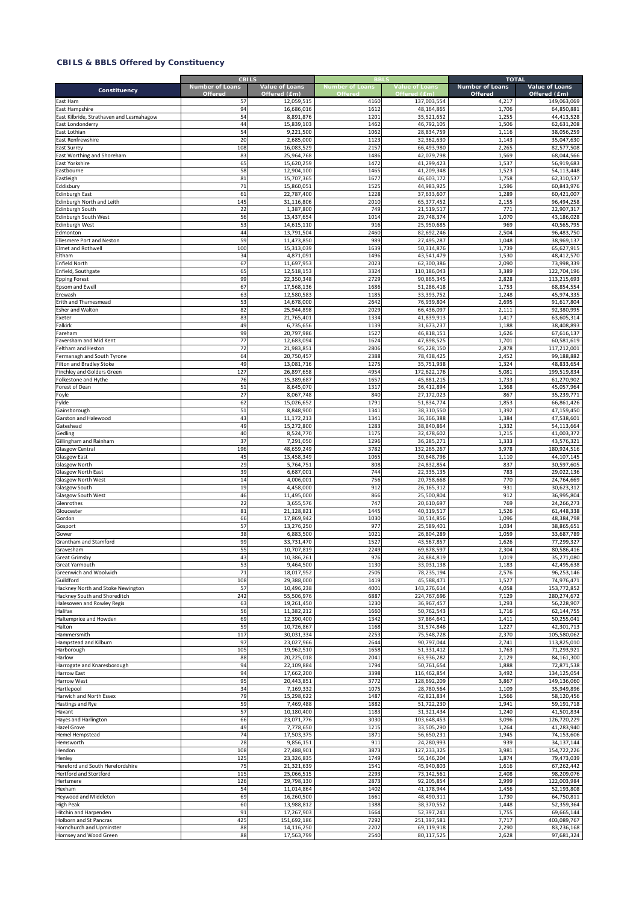|                                                              | <b>CBILS</b><br><b>Number of Loans</b> | Value of Loans           | <b>Number of Loans</b> | <b>Value of Loans</b>     | <b>TOTAL</b><br><b>Number of Loans</b> | Value of Loans            |
|--------------------------------------------------------------|----------------------------------------|--------------------------|------------------------|---------------------------|----------------------------------------|---------------------------|
| Constituency                                                 | Offered                                | Offered (£m)             | <b>Offered</b>         | Offered (£m)              | <b>Offered</b>                         | Offered (£m)              |
| East Ham                                                     | 57                                     | 12,059,515               | 4160                   | 137,003,554               | 4,217                                  | 149,063,069               |
| East Hampshire                                               | 94                                     | 16.686.016               | 1612                   | 48,164,865                | 1,706                                  | 64,850,881                |
| East Kilbride, Strathaven and Lesmahagow<br>East Londonderry | 54<br>44                               | 8,891,876<br>15,839,103  | 1201<br>1462           | 35,521,652<br>46,792,105  | 1,255<br>1,506                         | 44,413,528<br>62,631,208  |
| East Lothian                                                 | 54                                     | 9,221,500                | 1062                   | 28,834,759                | 1,116                                  | 38,056,259                |
| East Renfrewshire                                            | 20                                     | 2,685,000                | 1123                   | 32,362,630                | 1,143                                  | 35,047,630                |
| East Surrey                                                  | 108                                    | 16,083,529               | 2157                   | 66,493,980                | 2,265                                  | 82,577,508                |
| East Worthing and Shoreham                                   | 83                                     | 25,964,768               | 1486                   | 42,079,798                | 1,569                                  | 68,044,566                |
| East Yorkshire                                               | 65                                     | 15,620,259               | 1472                   | 41,299,423                | 1,537                                  | 56,919,683                |
| Eastbourne                                                   | 58<br>81                               | 12,904,100<br>15,707,365 | 1465<br>167            | 41,209,348<br>46,603,172  | 1,523<br>1,758                         | 54,113,448<br>62,310,537  |
| Eastleigh<br>ddisbury                                        | 71                                     | 15,860,051               | 1525                   | 44,983,925                | 1,596                                  | 60,843,976                |
| dinburgh East                                                | 61                                     | 22,787,400               | 1228                   | 37,633,607                | 1,289                                  | 60,421,007                |
| dinburgh North and Leith                                     | 145                                    | 31,116,806               | 2010                   | 65,377,452                | 2,155                                  | 96,494,258                |
| Edinburgh South                                              | 22                                     | 1,387,800                | 749                    | 21,519,517                | 771                                    | 22,907,317                |
| dinburgh South West                                          | 56                                     | 13,437,654               | 1014                   | 29,748,374                | 1,070                                  | 43,186,028                |
| dinburgh West                                                | 53<br>44                               | 14,615,110<br>13,791,504 | 916<br>2460            | 25,950,685                | 969<br>2,504                           | 40,565,795<br>96,483,750  |
| dmonton:<br>Ellesmere Port and Neston                        | 59                                     | 11,473,850               | 989                    | 82,692,246<br>27,495,287  | 1,048                                  | 38,969,137                |
| Elmet and Rothwell                                           | 100                                    | 15,313,039               | 1639                   | 50,314,876                | 1,739                                  | 65,627,915                |
| <b>Itham</b>                                                 | 34                                     | 4,871,091                | 1496                   | 43,541,479                | 1,530                                  | 48,412,570                |
| nfield North                                                 | 67                                     | 11,697,953               | 2023                   | 62,300,386                | 2,090                                  | 73,998,339                |
| Enfield, Southgate                                           | 65                                     | 12,518,153               | 3324                   | 110,186,043               | 3,389                                  | 122,704,196               |
| pping Forest                                                 | 99                                     | 22,350,348               | 2729                   | 90,865,345                | 2,828                                  | 113,215,693               |
| psom and Ewell<br>rewash                                     | 67<br>63                               | 17,568,136<br>12,580,583 | 1686<br>1185           | 51,286,418<br>33,393,752  | 1,753<br>1,248                         | 68,854,554<br>45,974,335  |
| Frith and Thamesmead                                         | 53                                     | 14,678,000               | 2642                   | 76,939,804                | 2,695                                  | 91,617,804                |
| Esher and Walton                                             | 82                                     | 25,944,898               | 2029                   | 66,436,097                | 2,111                                  | 92,380,995                |
| Exeter                                                       | 83                                     | 21,765,401               | 1334                   | 41,839,913                | 1,417                                  | 63,605,314                |
| alkirk:                                                      | 49                                     | 6,735,656                | 1139                   | 31,673,237                | 1,188                                  | 38,408,893                |
| areham                                                       | 99                                     | 20,797,986               | 1527                   | 46,818,151                | 1,626                                  | 67,616,137                |
| aversham and Mid Kent                                        | 77<br>72                               | 12,683,094               | 1624<br>2806           | 47,898,525<br>95,228,150  | 1,701                                  | 60,581,619                |
| Feltham and Heston<br>Fermanagh and South Tyrone             | 64                                     | 21,983,851<br>20,750,457 | 2388                   | 78,438,425                | 2,878<br>2,452                         | 117,212,001<br>99,188,882 |
| Filton and Bradley Stoke                                     | 49                                     | 13,081,716               | 1275                   | 35,751,938                | 1,324                                  | 48,833,654                |
| Finchley and Golders Green                                   | 127                                    | 26,897,658               | 4954                   | 172,622,176               | 5,081                                  | 199,519,834               |
| Folkestone and Hythe                                         | 76                                     | 15,389,687               | 1657                   | 45,881,215                | 1,733                                  | 61,270,902                |
| Forest of Dean                                               | 51                                     | 8,645,070                | 1317                   | 36,412,894                | 1,368                                  | 45,057,964                |
| Foyle                                                        | 27                                     | 8,067,748                | 840                    | 27,172,023                | 867                                    | 35,239,771                |
| -ylde<br>Gainsborough                                        | 62<br>51                               | 15,026,652<br>8,848,900  | 1791<br>1341           | 51,834,774<br>38,310,550  | 1,853<br>1,392                         | 66,861,426<br>47,159,450  |
| Garston and Halewood                                         | 43                                     | 11,172,213               | 1341                   | 36,366,388                | 1,384                                  | 47,538,601                |
| Gateshead                                                    | 49                                     | 15,272,800               | 1283                   | 38,840,864                | 1,332                                  | 54,113,664                |
| Gedling                                                      | 40                                     | 8,524,770                | 1175                   | 32,478,602                | 1,215                                  | 41,003,372                |
| Gillingham and Rainham                                       | 37                                     | 7,291,050                | 1296                   | 36,285,271                | 1,333                                  | 43,576,321                |
| Glasgow Central                                              | 196                                    | 48,659,249               | 3782                   | 132,265,267               | 3,978                                  | 180,924,516               |
| <b>Glasgow East</b><br>Glasgow North                         | 45<br>29                               | 13,458,349<br>5,764,751  | 1065<br>808            | 30,648,796<br>24,832,854  | 1,110<br>837                           | 44,107,145<br>30,597,605  |
| <b>Glasgow North East</b>                                    | 39                                     | 6,687,001                | 744                    | 22,335,135                | 783                                    | 29,022,136                |
| Glasgow North West                                           | 14                                     | 4,006,001                | 756                    | 20,758,668                | 770                                    | 24,764,669                |
| Glasgow South                                                | 19                                     | 4,458,000                | 912                    | 26,165,312                | 931                                    | 30,623,312                |
| Glasgow South West                                           | 46                                     | 11,495,000               | 866                    | 25,500,804                | 912                                    | 36,995,804                |
| Glenrothes                                                   | 22                                     | 3,655,576                | 747                    | 20,610,697                | 769                                    | 24,266,273                |
| Gloucester<br>Gordon                                         | 81<br>66                               | 21,128,821<br>17,869,942 | 1445<br>1030           | 40,319,517<br>30,514,856  | 1,526<br>1,096                         | 61,448,338<br>48,384,798  |
| Gosport                                                      | 57                                     | 13,276,250               | 97                     | 25,589,401                | 1,034                                  | 38,865,651                |
| Gower                                                        | 38                                     | 6,883,500                | 1021                   | 26,804,289                | 1,059                                  | 33,687,789                |
| <b>Grantham and Stamford</b>                                 | 99                                     | 33,731,470               | 1527                   | 43,567,857                | 1,626                                  | 77,299,327                |
| Gravesham                                                    | 55                                     | 10,707,819               | 2249                   | 69,878,597                | 2,304                                  | 80,586,416                |
| <b>Great Grimsby</b>                                         | 43                                     | 10,386,261               | 976                    | 24,884,819                | 1,019                                  | 35,271,080                |
| Great Yarmouth                                               | 53<br>71                               | 9,464,500<br>18,017,952  | 1130<br>2505           | 33,031,138<br>78,235,194  | 1,183                                  | 42,495,638<br>96,253,146  |
| Greenwich and Woolwich<br>Guildford                          | 108                                    | 29,388,000               | 1419                   | 45,588,471                | 2,576<br>1,527                         | 74,976,471                |
| Hackney North and Stoke Newington                            | 57                                     | 10,496,238               | 4001                   | 143,276,614               | 4,058                                  | 153,772,852               |
| Hackney South and Shoreditch                                 | 242                                    | 55,506,976               | 6887                   | 224,767,696               | 7,129                                  | 280,274,672               |
| <b>Halesowen and Rowley Regis</b>                            | 63                                     | 19,261,450               | 1230                   | 36,967,457                | 1,293                                  | 56,228,907                |
| Halifax                                                      | 56                                     | 11,382,212               | 1660                   | 50,762,543                | 1,716                                  | 62,144,755                |
| Haltemprice and Howden                                       | 69                                     | 12,390,400               | 1342                   | 37,864,641<br>31,574,846  | 1,411                                  | 50,255,041                |
| Halton<br>Hammersmith                                        | 59<br>117                              | 10,726,867<br>30,031,334 | 1168<br>2253           | 75,548,728                | 1,227<br>2,370                         | 42,301,713<br>105,580,062 |
| Hampstead and Kilburn                                        | 97                                     | 23,027,966               | 2644                   | 90,797,044                | 2,741                                  | 113,825,010               |
| Harborough                                                   | 105                                    | 19,962,510               | 1658                   | 51,331,412                | 1,763                                  | 71,293,921                |
| Harlow                                                       | 88                                     | 20,225,018               | 2041                   | 63,936,282                | 2,129                                  | 84,161,300                |
| Harrogate and Knaresborough                                  | 94                                     | 22,109,884               | 1794                   | 50,761,654                | 1,888                                  | 72,871,538                |
| <b>Harrow East</b>                                           | 94                                     | 17,662,200<br>20,443,851 | 3398                   | 116,462,854               | 3,492                                  | 134,125,054               |
| Harrow West<br>Hartlepool                                    | 95<br>34                               | 7,169,332                | 3772<br>1075           | 128,692,209<br>28,780,564 | 3,867<br>1,109                         | 149,136,060<br>35,949,896 |
| Harwich and North Essex                                      | 79                                     | 15,298,622               | 1487                   | 42,821,834                | 1,566                                  | 58,120,456                |
| Hastings and Rye                                             | 59                                     | 7,469,488                | 1887                   | 51,722,230                | 1,941                                  | 59,191,718                |
| Havant                                                       | 57                                     | 10,180,400               | 1183                   | 31,321,434                | 1,240                                  | 41,501,834                |
| Hayes and Harlington                                         | 66                                     | 23,071,776               | 3030                   | 103,648,453               | 3,096                                  | 126,720,229               |
| <b>Hazel Grove</b>                                           | 49                                     | 7,778,650                | 1215                   | 33,505,290                | 1,264                                  | 41,283,940                |
| <b>Hemel Hempstead</b>                                       | 74<br>28                               | 17,503,375               | 1871<br>911            | 56,650,231                | 1,945<br>939                           | 74,153,606                |
| Hemsworth<br>Hendon                                          | 108                                    | 9,856,151<br>27,488,901  | 3873                   | 24,280,993<br>127,233,325 | 3,981                                  | 34,137,144<br>154,722,226 |
| Henley                                                       | 125                                    | 23,326,835               | 1749                   | 56,146,204                | 1,874                                  | 79,473,039                |
| Hereford and South Herefordshire                             | 75                                     | 21,321,639               | 1541                   | 45,940,803                | 1,616                                  | 67,262,442                |
| <b>Hertford and Stortford</b>                                | 115                                    | 25,066,515               | 2293                   | 73,142,561                | 2,408                                  | 98,209,076                |
| Hertsmere                                                    | 126                                    | 29,798,130               | 2873                   | 92,205,854                | 2,999                                  | 122,003,984               |
| Hexham                                                       | 54                                     | 11,014,864               | 1402                   | 41,178,944                | 1,456                                  | 52,193,808                |
| Heywood and Middleton<br><b>High Peak</b>                    | 69<br>60                               | 16,260,500<br>13,988,812 | 1661<br>1388           | 48,490,311<br>38,370,552  | 1,730<br>1,448                         | 64,750,811<br>52,359,364  |
| Hitchin and Harpenden                                        | 91                                     | 17,267,903               | 1664                   | 52,397,241                | 1,755                                  | 69,665,144                |
| <b>Holborn and St Pancras</b>                                | 425                                    | 151,692,186              | 7292                   | 251,397,581               | 7,717                                  | 403,089,767               |
| Hornchurch and Upminster                                     | 88                                     | 14,116,250               | 2202                   | 69,119,918                | 2,290                                  | 83,236,168                |
| Hornsey and Wood Green                                       | 88                                     | 17,563,799               | 2540                   | 80,117,525                | 2,628                                  | 97,681,324                |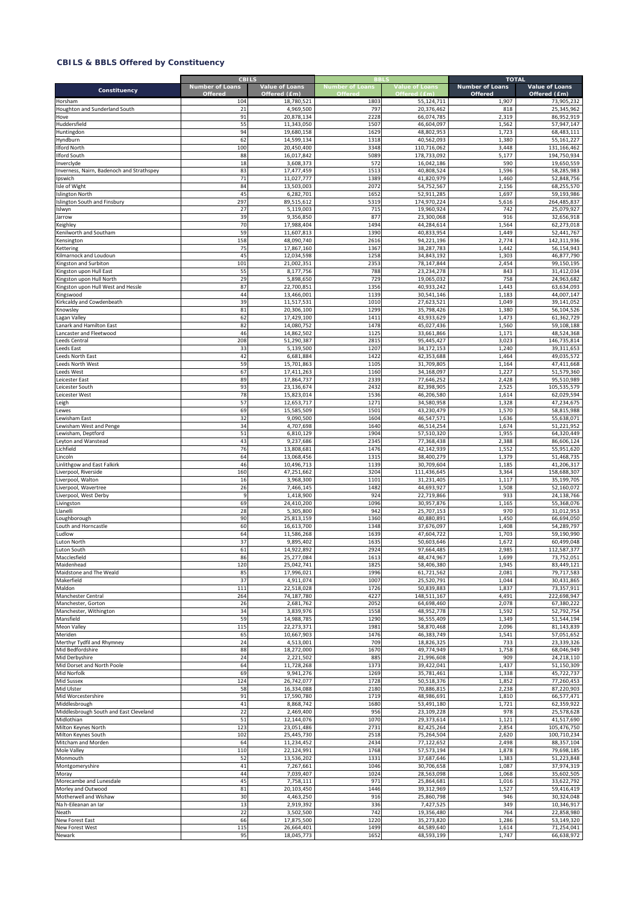|                                                                | <b>CBILS</b><br><b>Number of Loans</b> | Value of Loans           | <b>Number of Loans</b> | <b>Value of Loans</b>     | <b>TOTAL</b><br><b>Number of Loans</b> | Value of Loans            |
|----------------------------------------------------------------|----------------------------------------|--------------------------|------------------------|---------------------------|----------------------------------------|---------------------------|
| Constituency                                                   | <b>Offered</b>                         | Offered (£m)             | <b>Offered</b>         | Offered (£m)              | Offered                                | Offered (£m)              |
| Horsham                                                        | 104                                    | 18,780,521               | 1803                   | 55,124,711                | 1,907                                  | 73,905,232                |
| Houghton and Sunderland South                                  | 21<br>91                               | 4,969,500<br>20,878,134  | 797<br>2228            | 20,376,462<br>66,074,785  | 818<br>2,319                           | 25.345.962<br>86,952,919  |
| Hove<br>Huddersfield                                           | 55                                     | 11,343,050               | 1507                   | 46,604,097                | 1,562                                  | 57,947,147                |
| Huntingdon                                                     | 94                                     | 19,680,158               | 1629                   | 48,802,953                | 1,723                                  | 68,483,111                |
| Hyndburn                                                       | 62                                     | 14,599,134               | 1318                   | 40,562,093                | 1,380                                  | 55,161,227                |
| Ilford North                                                   | 100                                    | 20,450,400               | 3348                   | 110,716,062               | 3,448                                  | 131,166,462               |
| <b>Ilford South</b>                                            | 88                                     | 16,017,842               | 5089                   | 178,733,092               | 5,177                                  | 194,750,934               |
| Inverclyde<br>Inverness, Nairn, Badenoch and Strathspey        | 18<br>83                               | 3,608,373<br>17,477,459  | 572<br>1513            | 16,042,186<br>40,808,524  | 590<br>1,596                           | 19,650,559<br>58,285,983  |
| Ipswich                                                        | 71                                     | 11,027,777               | 1389                   | 41,820,979                | 1,460                                  | 52,848,756                |
| Isle of Wight                                                  | 84                                     | 13,503,003               | 2072                   | 54,752,567                | 2,156                                  | 68,255,570                |
| <b>Islington North</b>                                         | 45                                     | 6,282,701                | 1652                   | 52,911,285                | 1,697                                  | 59,193,986                |
| Islington South and Finsbury                                   | 297                                    | 89,515,612               | 5319                   | 174,970,224               | 5,616                                  | 264,485,837               |
| Islwyn                                                         | 27                                     | 5,119,003                | 715                    | 19,960,924                | 742                                    | 25,079,927                |
| Jarrow                                                         | 39<br>70                               | 9,356,850                | 877<br>1494            | 23,300,068                | 916                                    | 32,656,918                |
| Keighley<br>Kenilworth and Southam                             | 59                                     | 17,988,404<br>11,607,813 | 1390                   | 44,284,614<br>40,833,954  | 1,564<br>1,449                         | 62,273,018<br>52,441,767  |
| Kensington                                                     | 158                                    | 48,090,740               | 2616                   | 94,221,196                | 2,774                                  | 142,311,936               |
| Kettering                                                      | 75                                     | 17,867,160               | 1367                   | 38,287,783                | 1,442                                  | 56,154,943                |
| Kilmarnock and Loudoun                                         | 45                                     | 12,034,598               | 1258                   | 34,843,192                | 1,303                                  | 46,877,790                |
| Kingston and Surbiton                                          | 101                                    | 21,002,351               | 2353                   | 78,147,844                | 2,454                                  | 99,150,195                |
| Kingston upon Hull East                                        | 55                                     | 8,177,756                | 788                    | 23,234,278                | 843                                    | 31,412,034                |
| Kingston upon Hull North<br>Kingston upon Hull West and Hessle | 29<br>87                               | 5,898,650<br>22,700,851  | 729<br>1356            | 19,065,032<br>40,933,242  | 758<br>1,443                           | 24,963,682<br>63,634,093  |
| Kingswood                                                      | 44                                     | 13,466,001               | 1139                   | 30,541,146                | 1,183                                  | 44,007,147                |
| Kirkcaldy and Cowdenbeath                                      | 39                                     | 11,517,531               | 1010                   | 27,623,521                | 1,049                                  | 39.141.052                |
| Knowsley                                                       | 81                                     | 20,306,100               | 1299                   | 35,798,426                | 1,380                                  | 56,104,526                |
| agan Valley                                                    | 62                                     | 17,429,100               | 1411                   | 43,933,629                | 1,473                                  | 61,362,729                |
| anark and Hamilton East                                        | 82                                     | 14,080,752               | 1478                   | 45,027,436                | 1,560                                  | 59,108,188                |
| Lancaster and Fleetwood                                        | 46                                     | 14,862,502               | 1125                   | 33,661,866                | 1,171                                  | 48,524,368                |
| eeds Central<br>eeds East                                      | 208<br>33                              | 51,290,387               | 2815<br>1207           | 95,445,427<br>34,172,153  | 3,023                                  | 146,735,814<br>39,311,653 |
| eeds North East                                                | 42                                     | 5,139,500<br>6,681,884   | 1422                   | 42,353,688                | 1,240<br>1,464                         | 49,035,572                |
| eeds North West                                                | 59                                     | 15,701,863               | 1105                   | 31,709,805                | 1,164                                  | 47,411,668                |
| eeds West                                                      | 67                                     | 17,411,263               | 1160                   | 34,168,097                | 1,227                                  | 51,579,360                |
| eicester East                                                  | 89                                     | 17,864,737               | 2339                   | 77,646,252                | 2,428                                  | 95,510,989                |
| Leicester South                                                | 93                                     | 23,136,674               | 2432                   | 82,398,905                | 2,525                                  | 105,535,579               |
| Leicester West                                                 | 78                                     | 15,823,014               | 1536                   | 46,206,580                | 1,614                                  | 62,029,594                |
| .eigh                                                          | 57                                     | 12,653,717               | 1271<br>1501           | 34,580,958                | 1,328<br>1,570                         | 47,234,675                |
| ewes<br>ewisham East                                           | 69<br>32                               | 15,585,509<br>9,090,500  | 1604                   | 43,230,479<br>46,547,571  | 1,636                                  | 58,815,988<br>55,638,071  |
| ewisham West and Penge                                         | 34                                     | 4,707,698                | 1640                   | 46,514,254                | 1,674                                  | 51,221,952                |
| ewisham, Deptford                                              | 51                                     | 6,810,129                | 1904                   | 57,510,320                | 1,955                                  | 64,320,449                |
| eyton and Wanstead                                             | 43                                     | 9,237,686                | 2345                   | 77,368,438                | 2,388                                  | 86,606,124                |
| .ichfield                                                      | 76                                     | 13,808,681               | 1476                   | 42,142,939                | 1,552                                  | 55,951,620                |
| incoln                                                         | 64                                     | 13,068,456               | 1315                   | 38,400,279                | 1,379                                  | 51,468,735                |
| Linlithgow and East Falkirk                                    | 46<br>160                              | 10,496,713               | 1139<br>3204           | 30,709,604                | 1,185                                  | 41,206,317<br>158,688,307 |
| Liverpool, Riverside<br>Liverpool, Walton                      | 16                                     | 47,251,662<br>3,968,300  | 1101                   | 111,436,645<br>31,231,405 | 3,364<br>1,117                         | 35,199,705                |
| iverpool, Wavertree                                            | 26                                     | 7,466,145                | 1482                   | 44,693,927                | 1,508                                  | 52,160,072                |
| iverpool, West Derby                                           | 9                                      | 1,418,900                | 924                    | 22,719,866                | 933                                    | 24,138,766                |
| Livingston                                                     | 69                                     | 24,410,200               | 1096                   | 30,957,876                | 1,165                                  | 55,368,076                |
| Llanelli                                                       | 28                                     | 5,305,800                | 942                    | 25,707,153                | 970                                    | 31,012,953                |
| oughborough.                                                   | 90                                     | 25,813,159               | 1360                   | 40,880,891                | 1,450                                  | 66,694,050                |
| outh and Horncastle<br>udlow                                   | 60<br>64                               | 16,613,700<br>11,586,268 | 1348<br>1639           | 37,676,097<br>47.604.722  | 1,408<br>1,703                         | 54,289,797<br>59,190,990  |
| Luton North                                                    | 37                                     | 9,895,402                | 1635                   | 50,603,646                | 1,672                                  | 60,499,048                |
| Luton South                                                    | 61                                     | 14,922,892               | 2924                   | 97,664,485                | 2,985                                  | 112,587,377               |
| Macclesfield                                                   | 86                                     | 25,277,084               | 1613                   | 48,474,967                | 1,699                                  | 73,752,051                |
| Maidenhead                                                     | 120                                    | 25,042,741               | 1825                   | 58,406,380                | 1,945                                  | 83,449,121                |
| Maidstone and The Weald                                        | 85                                     | 17,996,021               | 1996                   | 61,721,562                | 2,081                                  | 79,717,583                |
| Makerfield<br>Maldon                                           | 37<br>111                              | 4,911,074<br>22,518,028  | 1007<br>1726           | 25,520,791<br>50,839,883  | 1,044<br>1,837                         | 30,431,865<br>73,357,911  |
| Manchester Central                                             | 264                                    | 74,187,780               | 4227                   | 148,511,167               | 4,491                                  | 222,698,947               |
| Manchester, Gorton                                             | 26                                     | 2,681,762                | 2052                   | 64,698,460                | 2,078                                  | 67,380,222                |
| Manchester, Withington                                         | 34                                     | 3,839,976                | 1558                   | 48,952,778                | 1,592                                  | 52,792,754                |
| Mansfield                                                      | 59                                     | 14,988,785               | 1290                   | 36,555,409                | 1,349                                  | 51,544,194                |
| Meon Valley                                                    | 115                                    | 22,273,371               | 1981                   | 58,870,468                | 2,096                                  | 81,143,839                |
| Meriden                                                        | 65                                     | 10,667,903               | 1476<br>709            | 46,383,749                | 1,541                                  | 57,051,652                |
| Merthyr Tydfil and Rhymney<br>Mid Bedfordshire                 | 24<br>88                               | 4,513,001<br>18,272,000  | 1670                   | 18,826,325<br>49,774,949  | 733<br>1,758                           | 23,339,326<br>68.046.949  |
| Mid Derbyshire                                                 | 24                                     | 2,221,502                | 885                    | 21,996,608                | 909                                    | 24,218,110                |
| Mid Dorset and North Poole                                     | 64                                     | 11,728,268               | 1373                   | 39,422,041                | 1,437                                  | 51,150,309                |
| Mid Norfolk                                                    | 69                                     | 9,941,276                | 1269                   | 35,781,461                | 1,338                                  | 45,722,737                |
| <b>Mid Sussex</b>                                              | 124                                    | 26,742,077               | 1728                   | 50,518,376                | 1,852                                  | 77,260,453                |
| Mid Ulster                                                     | 58                                     | 16,334,088               | 2180                   | 70,886,815                | 2,238                                  | 87,220,903                |
| Mid Worcestershire                                             | 91<br>41                               | 17,590,780<br>8,868,742  | 1719<br>1680           | 48,986,691<br>53,491,180  | 1,810<br>1,721                         | 66,577,471<br>62,359,922  |
| Middlesbrough<br>Middlesbrough South and East Cleveland        | 22                                     | 2,469,400                | 956                    | 23,109,228                | 978                                    | 25,578,628                |
| Midlothian                                                     | 51                                     | 12,144,076               | 1070                   | 29,373,614                | 1,121                                  | 41,517,690                |
| Milton Keynes North                                            | 123                                    | 23,051,486               | 2731                   | 82,425,264                | 2,854                                  | 105,476,750               |
| Milton Keynes South                                            | 102                                    | 25,445,730               | 2518                   | 75,264,504                | 2,620                                  | 100,710,234               |
| Mitcham and Morden                                             | 64                                     | 11,234,452               | 2434                   | 77,122,652                | 2,498                                  | 88,357,104                |
| Mole Valley                                                    | 110                                    | 22,124,991               | 1768                   | 57,573,194                | 1,878                                  | 79,698,185                |
| Monmouth<br>Montgomeryshire                                    | 52<br>41                               | 13,536,202<br>7,267,661  | 1331<br>1046           | 37,687,646<br>30,706,658  | 1,383<br>1,087                         | 51,223,848<br>37,974,319  |
| Moray                                                          | 44                                     | 7,039,407                | 1024                   | 28,563,098                | 1,068                                  | 35,602,505                |
| Morecambe and Lunesdale                                        | 45                                     | 7,758,111                | 971                    | 25,864,681                | 1,016                                  | 33,622,792                |
| Morley and Outwood                                             | 81                                     | 20,103,450               | 1446                   | 39,312,969                | 1,527                                  | 59,416,419                |
| Motherwell and Wishaw                                          | 30                                     | 4,463,250                | 916                    | 25,860,798                | 946                                    | 30,324,048                |
| Na h-Eileanan an Iar                                           | 13                                     | 2,919,392                | 336                    | 7,427,525                 | 349                                    | 10,346,917                |
| Neath<br>New Forest East                                       | 22<br>66                               | 3,502,500<br>17,875,500  | 742<br>1220            | 19,356,480<br>35,273,820  | 764<br>1,286                           | 22,858,980<br>53,149,320  |
| New Forest West                                                | 115                                    | 26,664,401               | 1499                   | 44,589,640                | 1,614                                  | 71,254,041                |
| Newark                                                         | 95                                     | 18,045,773               | 1652                   | 48,593,199                | 1,747                                  | 66,638,972                |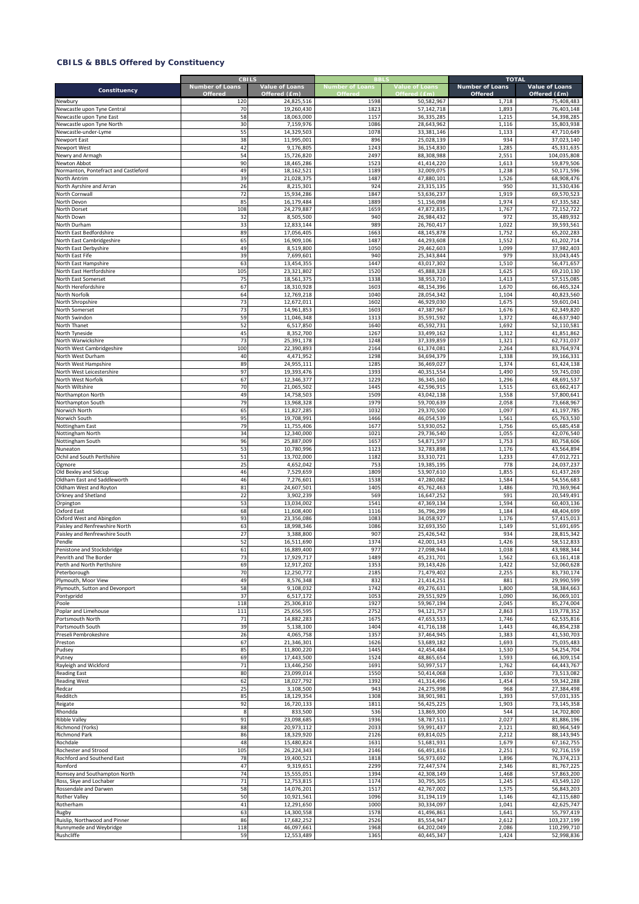|                                                            | <b>CBILS</b><br><b>Number of Loans</b> | <b>Value of Loans</b>    | <b>Number of Loans</b> | <b>Value of Loans</b>    | <b>TOTAL</b><br><b>Number of Loans</b> | Value of Loans             |
|------------------------------------------------------------|----------------------------------------|--------------------------|------------------------|--------------------------|----------------------------------------|----------------------------|
| Constituency                                               | <b>Offered</b>                         | Offered (£m)             | Offered                | Offered (£m)             | Offered                                | Offered (£m)               |
| Newbury                                                    | 120                                    | 24,825,516               | 1598                   | 50,582,967               | 1,718                                  | 75,408,483                 |
| Newcastle upon Tyne Central                                | 70                                     | 19,260,430               | 1823                   | 57,142,718               | 1,893                                  | 76,403,148                 |
| Newcastle upon Tyne East<br>Newcastle upon Tyne North      | 58<br>30                               | 18,063,000<br>7,159,976  | 1157<br>1086           | 36,335,285<br>28,643,962 | 1,215<br>1,116                         | 54,398,285<br>35,803,938   |
| Newcastle-under-Lyme                                       | 55                                     | 14,329,503               | 1078                   | 33,381,146               | 1,133                                  | 47,710,649                 |
| Newport East                                               | 38                                     | 11,995,001               | 896                    | 25,028,139               | 934                                    | 37,023,140                 |
| Newport West                                               | 42                                     | 9,176,805                | 1243                   | 36,154,830               | 1,285                                  | 45,331,635                 |
| Newry and Armagh                                           | 54                                     | 15,726,820               | 2497                   | 88,308,988               | 2,551                                  | 104,035,808                |
| Newton Abbot                                               | 90                                     | 18,465,286               | 1523                   | 41,414,220               | 1,613                                  | 59,879,506                 |
| Normanton, Pontefract and Castleford                       | 49                                     | 18,162,521               | 1189                   | 32,009,075               | 1,238                                  | 50,171,596                 |
| North Antrim                                               | 39<br>26                               | 21,028,375               | 148<br>924             | 47,880,101               | 1,526<br>950                           | 68,908,476<br>31,530,436   |
| North Ayrshire and Arran<br>North Cornwall                 | 72                                     | 8,215,301<br>15,934,286  | 1847                   | 23,315,135<br>53,636,237 | 1,919                                  | 69,570,523                 |
| North Devon                                                | 85                                     | 16,179,484               | 1889                   | 51,156,098               | 1,974                                  | 67,335,582                 |
| North Dorset                                               | 108                                    | 24,279,887               | 1659                   | 47,872,835               | 1,767                                  | 72,152,722                 |
| North Down                                                 | 32                                     | 8,505,500                | 940                    | 26,984,432               | 972                                    | 35,489,932                 |
| North Durham                                               | 33                                     | 12,833,144               | 989                    | 26,760,417               | 1,022                                  | 39,593,561                 |
| North East Bedfordshire                                    | 89                                     | 17,056,405               | 1663                   | 48,145,878               | 1,752                                  | 65,202,283                 |
| North East Cambridgeshire                                  | 65                                     | 16,909,106               | 1487                   | 44,293,608               | 1,552                                  | 61,202,714                 |
| North East Derbyshire<br>North East Fife                   | 49<br>39                               | 8,519,800<br>7,699,601   | 1050<br>940            | 29,462,603<br>25,343,844 | 1,099<br>979                           | 37,982,403<br>33,043,445   |
| North East Hampshire                                       | 63                                     | 13,454,355               | 1447                   | 43,017,302               | 1,510                                  | 56,471,657                 |
| North East Hertfordshire                                   | 105                                    | 23,321,802               | 1520                   | 45,888,328               | 1,625                                  | 69,210,130                 |
| North East Somerset                                        | 75                                     | 18,561,375               | 1338                   | 38,953,710               | 1,413                                  | 57,515,085                 |
| North Herefordshire                                        | 67                                     | 18,310,928               | 1603                   | 48,154,396               | 1,670                                  | 66,465,324                 |
| North Norfolk                                              | 64                                     | 12,769,218               | 1040                   | 28,054,342               | 1,104                                  | 40,823,560                 |
| North Shropshire                                           | 73                                     | 12,672,011               | 1602                   | 46,929,030               | 1,675                                  | 59,601,041                 |
| North Somerset                                             | 73                                     | 14,961,853               | 1603                   | 47,387,967               | 1,676                                  | 62,349,820                 |
| North Swindon                                              | 59<br>52                               | 11,046,348               | 1313                   | 35,591,592               | 1,372                                  | 46,637,940                 |
| North Thanet<br>North Tyneside                             | 45                                     | 6,517,850<br>8,352,700   | 1640<br>1267           | 45,592,731<br>33,499,162 | 1,692<br>1,312                         | 52,110,581<br>41,851,862   |
| North Warwickshire                                         | 73                                     | 25,391,178               | 1248                   | 37,339,859               | 1,321                                  | 62,731,037                 |
| North West Cambridgeshire                                  | 100                                    | 22,390,893               | 2164                   | 61,374,081               | 2,264                                  | 83,764,974                 |
| North West Durham                                          | 40                                     | 4,471,952                | 1298                   | 34,694,379               | 1,338                                  | 39,166,331                 |
| North West Hampshire                                       | 89                                     | 24,955,111               | 1285                   | 36,469,027               | 1,374                                  | 61,424,138                 |
| North West Leicestershire                                  | 97                                     | 19,393,476               | 1393                   | 40,351,554               | 1,490                                  | 59,745,030                 |
| North West Norfolk                                         | 67                                     | 12,346,377               | 1229                   | 36,345,160               | 1,296                                  | 48,691,537                 |
| North Wiltshire<br>Northampton North                       | 70<br>49                               | 21,065,502<br>14,758,503 | 1445<br>1509           | 42,596,915<br>43,042,138 | 1,515<br>1,558                         | 63,662,417<br>57,800,641   |
| Northampton South                                          | 79                                     | 13,968,328               | 1979                   | 59,700,639               | 2,058                                  | 73,668,967                 |
| Norwich North                                              | 65                                     | 11,827,285               | 103                    | 29,370,500               | 1,097                                  | 41,197,785                 |
| Norwich South                                              | 95                                     | 19,708,991               | 1466                   | 46,054,539               | 1,561                                  | 65,763,530                 |
| Nottingham East                                            | 79                                     | 11,755,406               | 1677                   | 53,930,052               | 1,756                                  | 65,685,458                 |
| Nottingham North                                           | 34                                     | 12,340,000               | 1021                   | 29,736,540               | 1,055                                  | 42,076,540                 |
| Nottingham South                                           | 96                                     | 25,887,009               | 1657                   | 54,871,597               | 1,753                                  | 80,758,606                 |
| Nuneaton                                                   | 53                                     | 10,780,996               | 1123                   | 32,783,898               | 1,176                                  | 43,564,894                 |
| Ochil and South Perthshire<br>Ogmore                       | 51<br>25                               | 13,702,000<br>4,652,042  | 1182<br>753            | 33,310,721<br>19,385,195 | 1,233<br>778                           | 47,012,721<br>24,037,237   |
| Old Bexley and Sidcup                                      | 46                                     | 7,529,659                | 1809                   | 53,907,610               | 1,855                                  | 61,437,269                 |
| Oldham East and Saddleworth                                | 46                                     | 7,276,601                | 1538                   | 47,280,082               | 1,584                                  | 54,556,683                 |
| Oldham West and Royton                                     | 81                                     | 24,607,501               | 1405                   | 45,762,463               | 1,486                                  | 70,369,964                 |
| Orkney and Shetland                                        | 22                                     | 3,902,239                | 569                    | 16,647,252               | 591                                    | 20,549,491                 |
| Orpington                                                  | 53                                     | 13,034,002               | 1541                   | 47,369,134               | 1,594                                  | 60,403,136                 |
| Oxford East                                                | 68<br>93                               | 11,608,400<br>23,356,086 | 1116<br>1083           | 36,796,299               | 1,184                                  | 48,404,699<br>57,415,013   |
| Oxford West and Abingdon<br>Paisley and Renfrewshire North | 63                                     | 18,998,346               | 1086                   | 34,058,927<br>32,693,350 | 1,176<br>1,149                         | 51,691,695                 |
| Paisley and Renfrewshire South                             | 27                                     | 3,388,800                | 907                    | 25,426,542               | 934                                    | 28,815,342                 |
| Pendle                                                     | 52                                     | 16,511,690               | 1374                   | 42,001,143               | 1,426                                  | 58,512,833                 |
| Penistone and Stocksbridge                                 | 61                                     | 16,889,400               | 977                    | 27,098,944               | 1,038                                  | 43,988,344                 |
| Penrith and The Border                                     | 73                                     | 17.929.717               | 1489                   | 45,231,701               | 1,562                                  | 63,161,418                 |
| Perth and North Perthshire                                 | 69                                     | 12,917,202               | 1353                   | 39,143,426               | 1,422                                  | 52,060,628                 |
| Peterborough<br>Plymouth, Moor View                        | 70<br>49                               | 12,250,772<br>8,576,348  | 2185<br>832            | 71,479,402<br>21,414,251 | 2,255<br>881                           | 83,730,174<br>29,990,599   |
| Plymouth, Sutton and Devonport                             | 58                                     | 9,108,032                | 1742                   | 49,276,631               | 1,800                                  | 58,384,663                 |
| Pontypridd                                                 | 37                                     | 6,517,172                | 1053                   | 29,551,929               | 1,090                                  | 36,069,101                 |
| Poole                                                      | 118                                    | 25,306,810               | 1927                   | 59,967,194               | 2,045                                  | 85,274,004                 |
| Poplar and Limehouse                                       | 111                                    | 25,656,595               | 2752                   | 94,121,757               | 2,863                                  | 119,778,352                |
| Portsmouth North                                           | 71                                     | 14,882,283               | 1675                   | 47,653,533               | 1,746                                  | 62,535,816                 |
| Portsmouth South<br>Preseli Pembrokeshire                  | 39<br>26                               | 5,138,100<br>4,065,758   | 1404<br>1357           | 41,716,138<br>37,464,945 | 1,443<br>1,383                         | 46,854,238<br>41,530,703   |
| Preston                                                    | 67                                     | 21,346,301               | 1626                   | 53,689,182               | 1,693                                  | 75,035,483                 |
| Pudsey                                                     | 85                                     | 11,800,220               | 1445                   | 42,454,484               | 1,530                                  | 54,254,704                 |
| Putney                                                     | 69                                     | 17,443,500               | 1524                   | 48,865,654               | 1,593                                  | 66,309,154                 |
| Rayleigh and Wickford                                      | 71                                     | 13,446,250               | 1691                   | 50,997,517               | 1,762                                  | 64,443,767                 |
| <b>Reading East</b>                                        | 80                                     | 23,099,014               | 1550                   | 50,414,068               | 1,630                                  | 73,513,082                 |
| <b>Reading West</b>                                        | 62                                     | 18,027,792               | 1392                   | 41,314,496               | 1,454                                  | 59,342,288                 |
| Redcar<br>Redditch                                         | 25<br>85                               | 3,108,500<br>18,129,354  | 943<br>1308            | 24,275,998<br>38,901,981 | 968<br>1,393                           | 27,384,498<br>57,031,335   |
| Reigate                                                    | 92                                     | 16,720,133               | 1811                   | 56,425,225               | 1,903                                  | 73,145,358                 |
| Rhondda                                                    | 8                                      | 833,500                  | 536                    | 13,869,300               | 544                                    | 14,702,800                 |
| <b>Ribble Valley</b>                                       | 91                                     | 23,098,685               | 1936                   | 58,787,511               | 2,027                                  | 81,886,196                 |
| Richmond (Yorks)                                           | 88                                     | 20,973,112               | 2033                   | 59,991,437               | 2,121                                  | 80,964,549                 |
| <b>Richmond Park</b>                                       | 86                                     | 18,329,920               | 2126                   | 69,814,025               | 2,212                                  | 88,143,945                 |
| Rochdale                                                   | 48                                     | 15,480,824               | 1631                   | 51,681,931               | 1,679                                  | 67,162,755                 |
| Rochester and Strood                                       | 105                                    | 26,224,343               | 2146                   | 66,491,816               | 2,251                                  | 92,716,159                 |
| Rochford and Southend East<br>Romford                      | 78<br>47                               | 19,400,521<br>9,319,651  | 1818<br>2299           | 56,973,692<br>72,447,574 | 1,896<br>2,346                         | 76,374,213<br>81,767,225   |
| Romsey and Southampton North                               | 74                                     | 15,555,051               | 1394                   | 42,308,149               | 1,468                                  | 57,863,200                 |
| Ross, Skye and Lochaber                                    | 71                                     | 12,753,815               | 1174                   | 30,795,305               | 1,245                                  | 43,549,120                 |
| Rossendale and Darwen                                      | 58                                     | 14,076,201               | 1517                   | 42,767,002               | 1,575                                  | 56,843,203                 |
| <b>Rother Valley</b>                                       | 50                                     | 10,921,561               | 1096                   | 31,194,119               | 1,146                                  | 42,115,680                 |
| Rotherham                                                  | 41                                     | 12,291,650               | 1000                   | 30,334,097               | 1,041                                  | 42,625,747                 |
| Rugby                                                      | 63                                     | 14,300,558               | 1578                   | 41,496,861               | 1,641                                  | 55,797,419                 |
| Ruislip, Northwood and Pinner<br>Runnymede and Weybridge   | 86<br>118                              | 17,682,252<br>46,097,661 | 2526<br>1968           | 85,554,947<br>64,202,049 | 2,612<br>2,086                         | 103,237,199<br>110,299,710 |
| Rushcliffe                                                 | 59                                     | 12,553,489               | 1365                   | 40,445,347               | 1,424                                  | 52,998,836                 |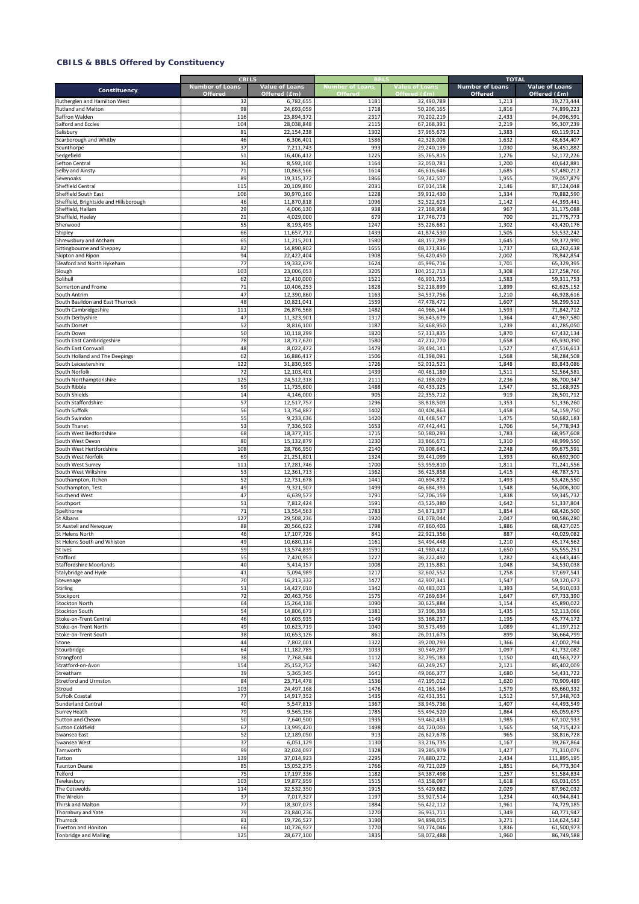|                                                        | <b>CBILS</b>                             |                                |                                   |                                       | <b>TOTAL</b>                      |                                       |
|--------------------------------------------------------|------------------------------------------|--------------------------------|-----------------------------------|---------------------------------------|-----------------------------------|---------------------------------------|
| Constituency                                           | <b>Number of Loans</b><br><b>Offered</b> | Value of Loans<br>Offered (£m) | <b>Number of Loans</b><br>Offered | <b>Value of Loans</b><br>Offered (£m) | <b>Number of Loans</b><br>Offered | <b>Value of Loans</b><br>Offered (£m) |
| Rutherglen and Hamilton West                           | 32                                       | 6,782,655                      | 1181                              | 32,490,789                            | 1,213                             | 39,273,444                            |
| Rutland and Melton                                     | 98                                       | 24,693,059                     | 1718                              | 50,206,165                            | 1,816                             | 74,899,223                            |
| Saffron Walden                                         | 116                                      | 23,894,372                     | 2317                              | 70,202,219                            | 2,433                             | 94,096,591                            |
| Salford and Eccles                                     | 104                                      | 28,038,848                     | 2115                              | 67,268,391                            | 2,219                             | 95,307,239                            |
| salisbury                                              | 81                                       | 22,154,238                     | 1302                              | 37,965,673                            | 1,383                             | 60,119,912                            |
| carborough and Whitby                                  | 46                                       | 6,306,401                      | 1586                              | 42,328,006                            | 1,632                             | 48,634,407                            |
| <b>Scunthorpe</b>                                      | 37                                       | 7,211,743                      | 993                               | 29,240,139                            | 1,030                             | 36,451,882                            |
| Sedgefield                                             | 51                                       | 16,406,412                     | 1225                              | 35,765,815                            | 1,276                             | 52,172,226                            |
| Sefton Central                                         | 36                                       | 8,592,100                      | 1164                              | 32,050,781                            | 1,200                             | 40,642,881                            |
| elby and Ainsty                                        | 71                                       | 10,863,566                     | 1614                              | 46,616,646                            | 1,685                             | 57,480,212                            |
| evenoaks                                               | 89                                       | 19,315,372                     | 1866                              | 59,742,507                            | 1,955                             | 79,057,879                            |
| Sheffield Central                                      | 115                                      | 20,109,890                     | 2031                              | 67,014,158                            | 2,146                             | 87,124,048                            |
| Sheffield South East                                   | 106                                      | 30,970,160                     | 1228                              | 39,912,430                            | 1,334                             | 70,882,590                            |
| Sheffield, Brightside and Hillsborough                 | 46                                       | 11,870,818                     | 1096                              | 32,522,623                            | 1,142                             | 44,393,441                            |
| Sheffield, Hallam                                      | 29                                       | 4,006,130                      | 938                               | 27,168,958                            | 967                               | 31,175,088                            |
| Sheffield, Heeley                                      | 21                                       | 4,029,000                      | 679                               | 17,746,773                            | 700                               | 21,775,773                            |
| Sherwood                                               | 55                                       | 8,193,495                      | 1247                              | 35,226,681                            | 1,302                             | 43,420,176                            |
| Shipley                                                | 66                                       | 11,657,712                     | 1439                              | 41,874,530                            | 1,505                             | 53,532,242                            |
| Shrewsbury and Atcham                                  | 65                                       | 11,215,201                     | 1580                              | 48,157,789                            | 1,645                             | 59,372,990                            |
| Sittingbourne and Sheppey                              | 82                                       | 14,890,802                     | 1655                              | 48,371,836                            | 1,737                             | 63,262,638                            |
| Skipton and Ripon                                      | 94                                       | 22,422,404                     | 1908                              | 56,420,450                            | 2,002                             | 78,842,854                            |
| Sleaford and North Hykeham                             | 77                                       | 19,332,679                     | 1624                              | 45,996,716                            | 1,701                             | 65,329,395                            |
| Slough                                                 | 103                                      | 23,006,053                     | 3205                              | 104,252,713                           | 3,308                             | 127,258,766                           |
| Solihull                                               | 62                                       | 12,410,000                     | 1521                              | 46,901,753                            | 1,583                             | 59,311,753                            |
| omerton and Frome                                      | 71                                       | 10,406,253                     | 1828                              | 52,218,899                            | 1,899                             | 62,625,152                            |
| outh Antrim                                            | 47                                       | 12,390,860                     | 1163                              | 34,537,756                            | 1,210                             | 46,928,616                            |
| South Basildon and East Thurrock                       | 48                                       | 10,821,041                     | 1559                              | 47,478,471                            | 1,607                             | 58,299,512                            |
| South Cambridgeshire                                   | 111                                      | 26,876,568                     | 1482                              | 44,966,144                            | 1,593                             | 71,842,712                            |
| South Derbyshire                                       | 47                                       | 11,323,901                     | 1317                              | 36,643,679                            | 1,364                             | 47,967,580                            |
| South Dorset                                           | 52                                       | 8,816,100                      | 1187                              | 32,468,950                            | 1,239                             | 41,285,050                            |
| outh Down                                              | 50                                       | 10,118,299                     | 1820                              | 57,313,835                            | 1,870                             | 67,432,134                            |
| South East Cambridgeshire                              | 78                                       | 18,717,620                     | 1580                              | 47,212,770                            | 1,658                             | 65,930,390                            |
| South East Cornwall                                    | 48<br>62                                 | 8,022,472<br>16,886,417        | 1479<br>1506                      | 39,494,141                            | 1,527                             | 47,516,613                            |
| South Holland and The Deepings<br>South Leicestershire | 122                                      | 31,830,565                     | 1726                              | 41,398,091<br>52,012,521              | 1,568<br>1,848                    | 58,284,508<br>83,843,086              |
|                                                        | 72                                       |                                | 1439                              |                                       |                                   |                                       |
| outh Norfolk                                           | 125                                      | 12,103,401                     | 2111                              | 40,461,180                            | 1,511<br>2,236                    | 52,564,581<br>86,700,347              |
| South Northamptonshire<br>South Ribble                 | 59                                       | 24,512,318                     | 1488                              | 62,188,029<br>40,433,325              | 1,547                             |                                       |
| South Shields                                          | 14                                       | 11,735,600<br>4,146,000        | 905                               | 22,355,712                            | 919                               | 52,168,925<br>26,501,712              |
| South Staffordshire                                    | 57                                       | 12,517,757                     | 1296                              | 38,818,503                            | 1,353                             | 51,336,260                            |
| South Suffolk                                          | 56                                       | 13,754,887                     | 1402                              | 40,404,863                            | 1,458                             | 54,159,750                            |
| South Swindon                                          | 55                                       | 9,233,636                      | 1420                              | 41,448,547                            | 1,475                             | 50,682,183                            |
| South Thanet                                           | 53                                       | 7,336,502                      | 1653                              | 47,442,441                            | 1,706                             | 54,778,943                            |
| South West Bedfordshire                                | 68                                       | 18,377,315                     | 1715                              | 50,580,293                            | 1,783                             | 68,957,608                            |
| South West Devon                                       | 80                                       | 15,132,879                     | 1230                              | 33,866,671                            | 1,310                             | 48,999,550                            |
| outh West Hertfordshire                                | 108                                      | 28,766,950                     | 2140                              | 70,908,641                            | 2,248                             | 99,675,591                            |
| South West Norfolk                                     | 69                                       | 21,251,801                     | 1324                              | 39,441,099                            | 1,393                             | 60,692,900                            |
| South West Surrey                                      | 111                                      | 17,281,746                     | 1700                              | 53,959,810                            | 1,811                             | 71,241,556                            |
| South West Wiltshire                                   | 53                                       | 12,361,713                     | 1362                              | 36,425,858                            | 1,415                             | 48,787,571                            |
| Southampton, Itchen                                    | 52                                       | 12,731,678                     | 1441                              | 40,694,872                            | 1,493                             | 53,426,550                            |
| outhampton, Test                                       | 49                                       | 9,321,907                      | 1499                              | 46,684,393                            | 1,548                             | 56,006,300                            |
| Southend West                                          | 47                                       | 6,639,573                      | 1791                              | 52,706,159                            | 1,838                             | 59,345,732                            |
| Southport                                              | 51                                       | 7,812,424                      | 1591                              | 43,525,380                            | 1,642                             | 51,337,804                            |
| Spelthorne                                             | 71                                       | 13,554,563                     | 1783                              | 54,871,937                            | 1,854                             | 68,426,500                            |
| St Albans                                              | 127                                      | 29,508,236                     | 1920                              | 61,078,044                            | 2,047                             | 90,586,280                            |
| St Austell and Newquay                                 | 88                                       | 20,566,622                     | 1798                              | 47,860,403                            | 1,886                             | 68,427,025                            |
| St Helens North                                        | 46                                       | 17,107,726                     | 841                               | 22,921,356                            | 887                               | 40,029,082                            |
| St Helens South and Whiston                            | 49                                       | 10,680,114                     | 1161                              | 34,494,448                            | 1,210                             | 45,174,562                            |
| St Ives                                                | 59                                       | 13,574,839                     | 1591                              | 41,980,412                            | 1,650                             | 55,555,251                            |
| Stafford                                               | 55                                       | 7.420.953                      | 1227                              | 36.222.492                            | 1.282                             | 43.643.445                            |
| <b>Staffordshire Moorlands</b>                         | 40                                       | 5,414,157                      | 1008                              | 29,115,881                            | 1,048                             | 34,530,038                            |
| Stalybridge and Hyde                                   | 41                                       | 5,094,989                      | 1217                              | 32,602,552                            | 1,258                             | 37,697,541                            |
| Stevenage                                              | 70                                       | 16,213,332                     | 1477                              | 42,907,341                            | 1,547                             | 59,120,673                            |
| Stirling                                               | 51                                       | 14,427,010                     | 1342                              | 40,483,023                            | 1,393                             | 54,910,033                            |
| stockport                                              | 72                                       | 20,463,756                     | 1575                              | 47,269,634                            | 1,647                             | 67,733,390                            |
| Stockton North                                         | 64                                       | 15,264,138                     | 1090                              | 30,625,884                            | 1,154                             | 45,890,022                            |
| Stockton South                                         | 54                                       | 14,806,673                     | 1381                              | 37,306,393                            | 1,435                             | 52,113,066                            |
| Stoke-on-Trent Central                                 | 46                                       | 10,605,935                     | 1149                              | 35,168,237                            | 1,195                             | 45,774,172                            |
| Stoke-on-Trent North                                   | 49                                       | 10,623,719                     | 1040                              | 30,573,493                            | 1,089                             | 41,197,212                            |
| Stoke-on-Trent South                                   | 38                                       | 10,653,126                     | 861                               | 26,011,673                            | 899                               | 36,664,799                            |
| stone                                                  | 44                                       | 7,802,001                      | 1322                              | 39,200,793                            | 1,366                             | 47,002,794                            |
| Stourbridge                                            | 64                                       | 11,182,785                     | 1033                              | 30,549,297                            | 1,097                             | 41,732,082                            |
| Strangford                                             | 38                                       | 7,768,544                      | 1112                              | 32,795,183                            | 1,150                             | 40,563,727                            |
| Stratford-on-Avon                                      | 154                                      | 25, 152, 752                   | 1967                              | 60,249,257                            | 2,121                             | 85,402,009                            |
| Streatham                                              | 39                                       | 5,365,345                      | 1641                              | 49,066,377                            | 1,680                             | 54,431,722                            |
| Stretford and Urmston                                  | 84                                       | 23,714,478                     | 1536                              | 47,195,012                            | 1,620                             | 70,909,489                            |
| Stroud                                                 | 103                                      | 24,497,168                     | 1476                              | 41,163,164                            | 1,579                             | 65,660,332                            |
| Suffolk Coastal                                        | 77                                       | 14,917,352                     | 1435                              | 42,431,351                            | 1,512                             | 57,348,703                            |
| Sunderland Central                                     | 40                                       | 5,547,813                      | 1367                              | 38,945,736                            | 1,407                             | 44,493,549                            |
| Surrey Heath                                           | 79                                       | 9,565,156                      | 1785                              | 55,494,520                            | 1,864                             | 65,059,675                            |
| utton and Cheam                                        | 50                                       | 7,640,500                      | 1935                              | 59,462,433                            | 1,985                             | 67,102,933                            |
| Sutton Coldfield                                       | 67                                       | 13,995,420                     | 1498                              | 44,720,003                            | 1,565                             | 58,715,423                            |
| Swansea East                                           | 52                                       | 12,189,050                     | 913<br>1130                       | 26,627,678                            | 965                               | 38,816,728                            |
| Swansea West                                           | 37<br>99                                 | 6,051,129                      |                                   | 33,216,735                            | 1,167                             | 39,267,864                            |
| Tamworth                                               | 139                                      | 32,024,097                     | 1328<br>2295                      | 39,285,979                            | 1,427                             | 71,310,076<br>111,895,195             |
| Tatton                                                 | 85                                       | 37,014,923<br>15,052,275       | 1766                              | 74,880,272<br>49,721,029              | 2,434<br>1,851                    | 64,773,304                            |
| <b>Taunton Deane</b><br>Telford                        | 75                                       | 17,197,336                     | 1187                              | 34,387,498                            | 1,257                             | 51,584,834                            |
| Tewkesbury                                             | 103                                      | 19,872,959                     | 1515                              | 43,158,097                            | 1,618                             | 63,031,055                            |
| The Cotswolds                                          | 114                                      | 32,532,350                     | 1915                              |                                       | 2,029                             | 87,962,032                            |
| The Wrekin                                             | 37                                       | 7,017,327                      | 1197                              | 55,429,682<br>33,927,514              | 1,234                             | 40,944,841                            |
| Thirsk and Malton                                      | 77                                       | 18,307,073                     | 1884                              | 56,422,112                            | 1,961                             | 74,729,185                            |
| Thornbury and Yate                                     | 79                                       | 23,840,236                     | 1270                              | 36,931,711                            | 1,349                             | 60,771,947                            |
| Thurrock                                               | 81                                       | 19,726,527                     | 3190                              | 94,898,015                            | 3,271                             | 114,624,542                           |
| Tiverton and Honiton                                   | 66                                       | 10,726,927                     | 1770                              | 50,774,046                            | 1,836                             | 61,500,973                            |
| <b>Tonbridge and Malling</b>                           | 125                                      | 28,677,100                     | 1835                              | 58,072,488                            | 1,960                             | 86,749,588                            |